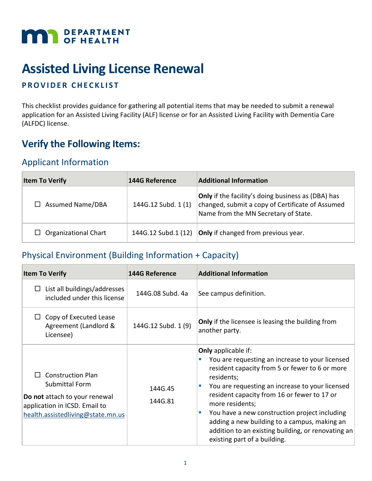

# **Assisted Living License Renewal**

#### **PROVIDER CHECKLIST**

This checklist provides guidance for gathering all potential items that may be needed to submit a renewal application for an Assisted Living Facility (ALF) license or for an Assisted Living Facility with Dementia Care (ALFDC) license.

# **Verify the Following Items:**

### Applicant Information

| <b>Item To Verify</b>        | <b>144G Reference</b> | <b>Additional Information</b>                                                                                                                         |
|------------------------------|-----------------------|-------------------------------------------------------------------------------------------------------------------------------------------------------|
| <b>Assumed Name/DBA</b><br>П | 144G.12 Subd. 1 (1)   | <b>Only</b> if the facility's doing business as (DBA) has<br>changed, submit a copy of Certificate of Assumed<br>Name from the MN Secretary of State. |
| <b>Organizational Chart</b>  | 144G.12 Subd.1 (12)   | Only if changed from previous year.                                                                                                                   |

### Physical Environment (Building Information + Capacity)

| <b>Item To Verify</b>                                                                                                                             | <b>144G Reference</b> | <b>Additional Information</b>                                                                                                                                                                                                                                                                                                                                                                                                                                  |
|---------------------------------------------------------------------------------------------------------------------------------------------------|-----------------------|----------------------------------------------------------------------------------------------------------------------------------------------------------------------------------------------------------------------------------------------------------------------------------------------------------------------------------------------------------------------------------------------------------------------------------------------------------------|
| List all buildings/addresses<br>ப<br>included under this license                                                                                  | 144G.08 Subd. 4a      | See campus definition.                                                                                                                                                                                                                                                                                                                                                                                                                                         |
| Copy of Executed Lease<br>Agreement (Landlord &<br>Licensee)                                                                                      | 144G.12 Subd. 1 (9)   | <b>Only</b> if the licensee is leasing the building from<br>another party.                                                                                                                                                                                                                                                                                                                                                                                     |
| <b>Construction Plan</b><br>Submittal Form<br>Do not attach to your renewal<br>application in ICSD. Email to<br>health.assistedliving@state.mn.us | 144G.45<br>144G.81    | <b>Only</b> applicable if:<br>You are requesting an increase to your licensed<br>resident capacity from 5 or fewer to 6 or more<br>residents;<br>You are requesting an increase to your licensed<br>resident capacity from 16 or fewer to 17 or<br>more residents;<br>You have a new construction project including<br>ш<br>adding a new building to a campus, making an<br>addition to an existing building, or renovating an<br>existing part of a building. |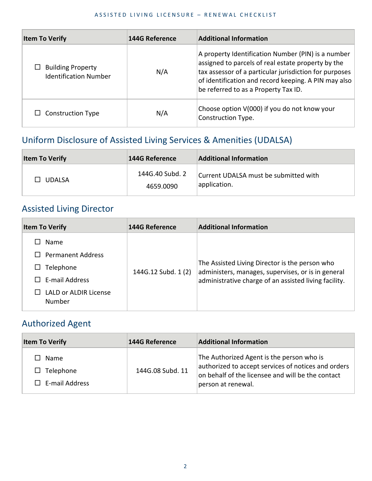| <b>Item To Verify</b>                                    | <b>144G Reference</b> | <b>Additional Information</b>                                                                                                                                                                                                                                      |
|----------------------------------------------------------|-----------------------|--------------------------------------------------------------------------------------------------------------------------------------------------------------------------------------------------------------------------------------------------------------------|
| $\Box$ Building Property<br><b>Identification Number</b> | N/A                   | A property Identification Number (PIN) is a number<br>assigned to parcels of real estate property by the<br>tax assessor of a particular jurisdiction for purposes<br>of identification and record keeping. A PIN may also<br>be referred to as a Property Tax ID. |
| <b>Construction Type</b>                                 | N/A                   | Choose option V(000) if you do not know your<br>Construction Type.                                                                                                                                                                                                 |

# Uniform Disclosure of Assisted Living Services & Amenities (UDALSA)

| <b>Item To Verify</b> | 144G Reference               | <b>Additional Information</b>                         |
|-----------------------|------------------------------|-------------------------------------------------------|
| <b>UDALSA</b>         | 144G.40 Subd. 2<br>4659.0090 | Current UDALSA must be submitted with<br>application. |

# Assisted Living Director

| <b>Item To Verify</b>                  | <b>144G Reference</b> | <b>Additional Information</b>                                                                                                                                 |
|----------------------------------------|-----------------------|---------------------------------------------------------------------------------------------------------------------------------------------------------------|
| Name<br>$\Box$ Permanent Address       |                       |                                                                                                                                                               |
| Telephone                              | 144G.12 Subd. 1 (2)   | The Assisted Living Director is the person who<br>administers, manages, supervises, or is in general<br>administrative charge of an assisted living facility. |
| E-mail Address                         |                       |                                                                                                                                                               |
| <b>LALD or ALDIR License</b><br>Number |                       |                                                                                                                                                               |

### Authorized Agent

| <b>Item To Verify</b>                                    | <b>144G Reference</b> | <b>Additional Information</b>                                                                                                                                               |
|----------------------------------------------------------|-----------------------|-----------------------------------------------------------------------------------------------------------------------------------------------------------------------------|
| $\Box$ Name<br>$\Box$ Telephone<br>$\Box$ E-mail Address | 144G.08 Subd. 11      | The Authorized Agent is the person who is<br>authorized to accept services of notices and orders<br>on behalf of the licensee and will be the contact<br>person at renewal. |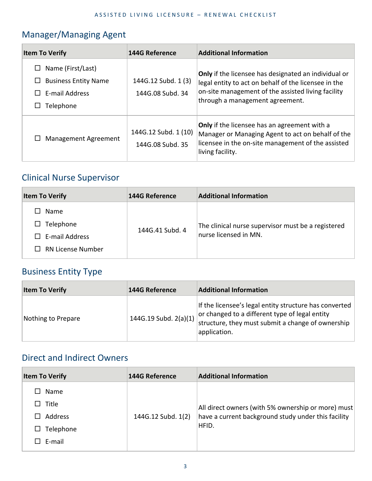# Manager/Managing Agent

| <b>Item To Verify</b>                                                                | <b>144G Reference</b>                    | <b>Additional Information</b>                                                                                                                                                                         |
|--------------------------------------------------------------------------------------|------------------------------------------|-------------------------------------------------------------------------------------------------------------------------------------------------------------------------------------------------------|
| Name (First/Last)<br>ப<br><b>Business Entity Name</b><br>E-mail Address<br>Telephone | 144G.12 Subd. 1 (3)<br>144G.08 Subd. 34  | Only if the licensee has designated an individual or<br>legal entity to act on behalf of the licensee in the<br>on-site management of the assisted living facility<br>through a management agreement. |
| Management Agreement                                                                 | 144G.12 Subd. 1 (10)<br>144G.08 Subd. 35 | Only if the licensee has an agreement with a<br>Manager or Managing Agent to act on behalf of the<br>licensee in the on-site management of the assisted<br>living facility.                           |

## Clinical Nurse Supervisor

| <b>Item To Verify</b>                                                               | 144G Reference  | <b>Additional Information</b>                                               |
|-------------------------------------------------------------------------------------|-----------------|-----------------------------------------------------------------------------|
| Name<br>LΙ<br>$\Box$ Telephone<br>$\Box$ E-mail Address<br>$\Box$ RN License Number | 144G.41 Subd. 4 | The clinical nurse supervisor must be a registered<br>nurse licensed in MN. |

## Business Entity Type

| <b>Item To Verify</b> | <b>144G Reference</b> | <b>Additional Information</b>                                                                                                                                                 |
|-----------------------|-----------------------|-------------------------------------------------------------------------------------------------------------------------------------------------------------------------------|
| Nothing to Prepare    | 144G.19 Subd. 2(a)(1) | If the licensee's legal entity structure has converted<br>or changed to a different type of legal entity<br>structure, they must submit a change of ownership<br>application. |

### Direct and Indirect Owners

| <b>Item To Verify</b> | <b>144G Reference</b> | <b>Additional Information</b>                       |
|-----------------------|-----------------------|-----------------------------------------------------|
| Name                  |                       |                                                     |
| Title<br>ΙI           |                       | All direct owners (with 5% ownership or more) must  |
| Address               | 144G.12 Subd. 1(2)    | have a current background study under this facility |
| Telephone<br>ΙI       |                       | HFID.                                               |
| E-mail                |                       |                                                     |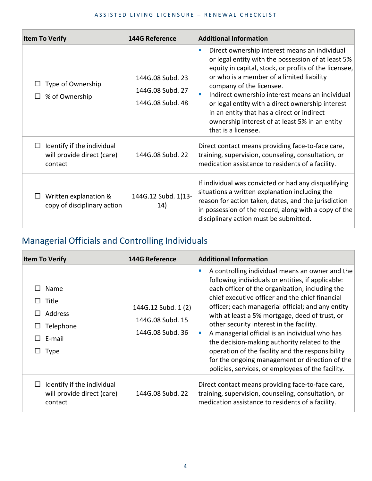| <b>Item To Verify</b>                                                         | <b>144G Reference</b>                                    | <b>Additional Information</b>                                                                                                                                                                                                                                                                                                                                                                                                                                                 |
|-------------------------------------------------------------------------------|----------------------------------------------------------|-------------------------------------------------------------------------------------------------------------------------------------------------------------------------------------------------------------------------------------------------------------------------------------------------------------------------------------------------------------------------------------------------------------------------------------------------------------------------------|
| Type of Ownership<br>% of Ownership                                           | 144G.08 Subd. 23<br>144G.08 Subd. 27<br>144G.08 Subd. 48 | Direct ownership interest means an individual<br>٠<br>or legal entity with the possession of at least 5%<br>equity in capital, stock, or profits of the licensee,<br>or who is a member of a limited liability<br>company of the licensee.<br>Indirect ownership interest means an individual<br>п<br>or legal entity with a direct ownership interest<br>in an entity that has a direct or indirect<br>ownership interest of at least 5% in an entity<br>that is a licensee. |
| Identify if the individual<br>$\Box$<br>will provide direct (care)<br>contact | 144G.08 Subd. 22                                         | Direct contact means providing face-to-face care,<br>training, supervision, counseling, consultation, or<br>medication assistance to residents of a facility.                                                                                                                                                                                                                                                                                                                 |
| Written explanation &<br>copy of disciplinary action                          | 144G.12 Subd. 1(13-<br>14)                               | If individual was convicted or had any disqualifying<br>situations a written explanation including the<br>reason for action taken, dates, and the jurisdiction<br>in possession of the record, along with a copy of the<br>disciplinary action must be submitted.                                                                                                                                                                                                             |

# Managerial Officials and Controlling Individuals

| <b>Item To Verify</b>                                                                                                  | <b>144G Reference</b>                                       | <b>Additional Information</b>                                                                                                                                                                                                                                                                                                                                                                                                                                                                                                                                                                                                   |
|------------------------------------------------------------------------------------------------------------------------|-------------------------------------------------------------|---------------------------------------------------------------------------------------------------------------------------------------------------------------------------------------------------------------------------------------------------------------------------------------------------------------------------------------------------------------------------------------------------------------------------------------------------------------------------------------------------------------------------------------------------------------------------------------------------------------------------------|
| Name<br>Title<br>$\mathsf{L}$<br>Address<br>$\mathbf{L}$<br>Telephone<br>$\Box$<br>E-mail<br>$\mathbf{1}$<br>Type<br>ப | 144G.12 Subd. 1 (2)<br>144G.08 Subd. 15<br>144G.08 Subd. 36 | A controlling individual means an owner and the<br>following individuals or entities, if applicable:<br>each officer of the organization, including the<br>chief executive officer and the chief financial<br>officer; each managerial official; and any entity<br>with at least a 5% mortgage, deed of trust, or<br>other security interest in the facility.<br>A managerial official is an individual who has<br>×<br>the decision-making authority related to the<br>operation of the facility and the responsibility<br>for the ongoing management or direction of the<br>policies, services, or employees of the facility. |
| Identify if the individual<br>will provide direct (care)<br>contact                                                    | 144G.08 Subd. 22                                            | Direct contact means providing face-to-face care,<br>training, supervision, counseling, consultation, or<br>medication assistance to residents of a facility.                                                                                                                                                                                                                                                                                                                                                                                                                                                                   |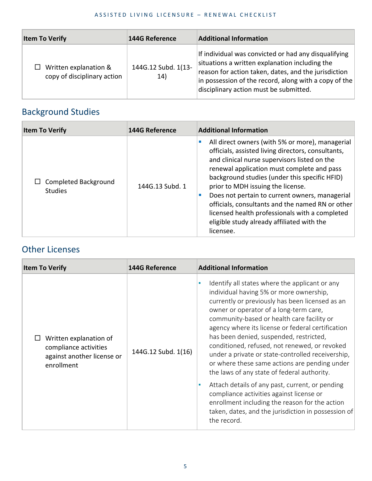| <b>Item To Verify</b>                                       | 144G Reference             | <b>Additional Information</b>                                                                                                                                                                                                                                     |
|-------------------------------------------------------------|----------------------------|-------------------------------------------------------------------------------------------------------------------------------------------------------------------------------------------------------------------------------------------------------------------|
| $\Box$ Written explanation &<br>copy of disciplinary action | 144G.12 Subd. 1(13-<br>14) | If individual was convicted or had any disqualifying<br>situations a written explanation including the<br>reason for action taken, dates, and the jurisdiction<br>in possession of the record, along with a copy of the<br>disciplinary action must be submitted. |

# Background Studies

| <b>Item To Verify</b>                  | <b>144G Reference</b> | <b>Additional Information</b>                                                                                                                                                                                                                                                                                                                                                                                                                                                                                |
|----------------------------------------|-----------------------|--------------------------------------------------------------------------------------------------------------------------------------------------------------------------------------------------------------------------------------------------------------------------------------------------------------------------------------------------------------------------------------------------------------------------------------------------------------------------------------------------------------|
| Completed Background<br><b>Studies</b> | 144G.13 Subd. 1       | All direct owners (with 5% or more), managerial<br>officials, assisted living directors, consultants,<br>and clinical nurse supervisors listed on the<br>renewal application must complete and pass<br>background studies (under this specific HFID)<br>prior to MDH issuing the license.<br>Does not pertain to current owners, managerial<br>officials, consultants and the named RN or other<br>licensed health professionals with a completed<br>eligible study already affiliated with the<br>licensee. |

# Other Licenses

| <b>Item To Verify</b>                                                                       | <b>144G Reference</b> | <b>Additional Information</b>                                                                                                                                                                                                                                                                                                                                                                                                                                                                                                                                                                                                                                                                                                                                     |
|---------------------------------------------------------------------------------------------|-----------------------|-------------------------------------------------------------------------------------------------------------------------------------------------------------------------------------------------------------------------------------------------------------------------------------------------------------------------------------------------------------------------------------------------------------------------------------------------------------------------------------------------------------------------------------------------------------------------------------------------------------------------------------------------------------------------------------------------------------------------------------------------------------------|
| Written explanation of<br>compliance activities<br>against another license or<br>enrollment | 144G.12 Subd. 1(16)   | Identify all states where the applicant or any<br>individual having 5% or more ownership,<br>currently or previously has been licensed as an<br>owner or operator of a long-term care,<br>community-based or health care facility or<br>agency where its license or federal certification<br>has been denied, suspended, restricted,<br>conditioned, refused, not renewed, or revoked<br>under a private or state-controlled receivership,<br>or where these same actions are pending under<br>the laws of any state of federal authority.<br>Attach details of any past, current, or pending<br>compliance activities against license or<br>enrollment including the reason for the action<br>taken, dates, and the jurisdiction in possession of<br>the record. |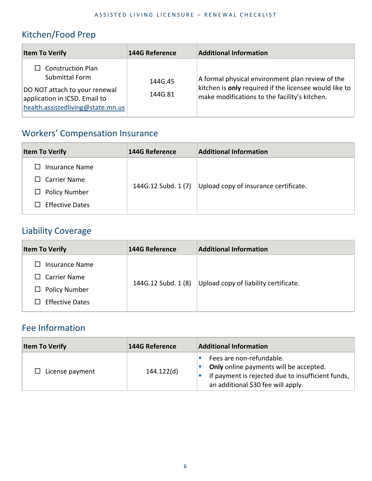## Kitchen/Food Prep

| <b>Item To Verify</b>                                                                                                                             | <b>144G Reference</b> | <b>Additional Information</b>                                                                                                                                   |
|---------------------------------------------------------------------------------------------------------------------------------------------------|-----------------------|-----------------------------------------------------------------------------------------------------------------------------------------------------------------|
| $\Box$ Construction Plan<br>Submittal Form<br>DO NOT attach to your renewal<br>application in ICSD. Email to<br>health.assistedliving@state.mn.us | 144G.45<br>144G.81    | A formal physical environment plan review of the<br>kitchen is only required if the licensee would like to $ $<br>make modifications to the facility's kitchen. |

# Workers' Compensation Insurance

| <b>Item To Verify</b>                                                                   | 144G Reference      | <b>Additional Information</b>         |
|-----------------------------------------------------------------------------------------|---------------------|---------------------------------------|
| Insurance Name<br>$\Box$ Carrier Name<br>$\Box$ Policy Number<br><b>Effective Dates</b> | 144G.12 Subd. 1 (7) | Upload copy of insurance certificate. |

## Liability Coverage

| <b>Item To Verify</b>                                                                                       | <b>144G Reference</b> | <b>Additional Information</b>         |
|-------------------------------------------------------------------------------------------------------------|-----------------------|---------------------------------------|
| Insurance Name<br>Carrier Name<br>$\perp$<br>$\Box$ Policy Number<br><b>Effective Dates</b><br>$\mathbf{I}$ | 144G.12 Subd. 1 (8)   | Upload copy of liability certificate. |

# Fee Information

| <b>Item To Verify</b>  | 144G Reference | <b>Additional Information</b>                                                                                                                                 |
|------------------------|----------------|---------------------------------------------------------------------------------------------------------------------------------------------------------------|
| $\Box$ License payment | 144.122(d)     | Fees are non-refundable.<br>Only online payments will be accepted.<br>If payment is rejected due to insufficient funds,<br>an additional \$30 fee will apply. |